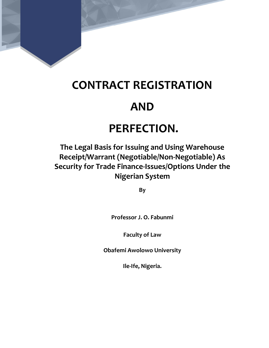

# CONTRACT REGISTRATION

### AND

## PERFECTION.

### The Legal Basis for Issuing and Using Warehouse Receipt/Warrant (Negotiable/Non-Negotiable) As Security for Trade Finance-Issues/Options Under the Nigerian System

By

Professor J. O. Fabunmi

Faculty of Law

Obafemi Awolowo University

Ile-Ife, Nigeria.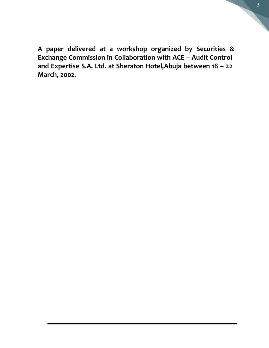A paper delivered at a workshop organized by Securities & Exchange Commission in Collaboration with ACE – Audit Control and Expertise S.A. Ltd. at Sheraton Hotel, Abuja between 18 - 22 March, 2002.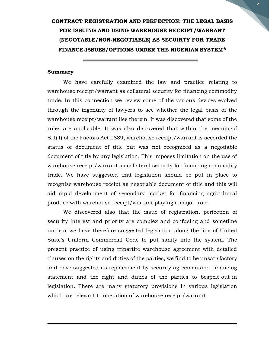### CONTRACT REGISTRATION AND PERFECTION: THE LEGAL BASIS FOR ISSUING AND USING WAREHOUSE RECEIPT/WARRANT (NEGOTABLE/NON-NEGOTIABLE) AS SECUIRTY FOR TRADE FINANCE-ISSUES/OPTIONS UNDER THE NIGERIAN SYSTEM\*

#### Summary

We have carefully examined the law and practice relating to warehouse receipt/warrant as collateral security for financing commodity trade. In this connection we review some of the various devices evolved through the ingenuity of lawyers to see whether the legal basis of the warehouse receipt/warrant lies therein. It was discovered that some of the rules are applicable. It was also discovered that within the meaning of S.1(4) of the Factors Act 1889, warehouse receipt/warrant is accorded the status of document of title but was not recognized as a negotiable document of title by any legislation. This imposes limitation on the use of warehouse receipt/warrant as collateral security for financing commodity trade. We have suggested that legislation should be put in place to recognise warehouse receipt as negotiable document of title and this will aid rapid development of secondary market for financing agricultural produce with warehouse receipt/warrant playing a major role.

We discovered also that the issue of registration, perfection of security interest and priority are complex and confusing and sometime unclear we have therefore suggested legislation along the line of United State's Uniform Commercial Code to put sanity into the system. The present practice of using tripartite warehouse agreement with detailed clauses on the rights and duties of the parties, we find to be unsatisfactory and have suggested its replacement by security agreementand financing statement and the right and duties of the parties to bespelt out in legislation. There are many statutory provisions in various legislation which are relevant to operation of warehouse receipt/warrant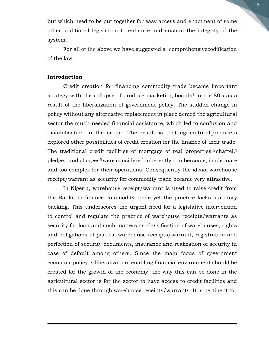but which need to be put together for easy access and enactment of some other additional legislation to enhance and sustain the integrity of the system.

For all of the above we have suggested a comprehensive codification of the law.

#### Introduction

Credit creation for financing commodity trade became important strategy with the collapse of produce marketing boards<sup>1</sup> in the 80's as a result of the liberalization of government policy. The sudden change in policy without any alternative replacement in place denied the agricultural sector the much-needed financial assistance, which led to confusion and distabilisation in the sector. The result is that agricultural producers explored other possibilities of credit creation for the finance of their trade. The traditional credit facilities of mortgage of real properties,  $2$  chattel,  $3$ pledge,<sup>4</sup> and charges<sup>5</sup> were considered inherently cumbersome, inadequate and too complex for their operations. Consequently the idea of warehouse receipt/warrant as security for commodity trade became very attractive.

In Nigeria, warehouse receipt/warrant is used to raise credit from the Banks to finance commodity trade yet the practice lacks statutory backing. This underscores the urgent need for a legislative intervention to control and regulate the practice of warehouse receipts/warrants as security for loan and such matters as classification of warehouses, rights and obligations of parties, warehouse receipts/warrant, registration and perfection of security documents, insurance and realization of security in case of default among others. Since the main focus of government economic policy is liberalization, enabling financial environment should be created for the growth of the economy, the way this can be done in the agricultural sector is for the sector to have access to credit facilities and this can be done through warehouse receipts/warrants. It is pertinent to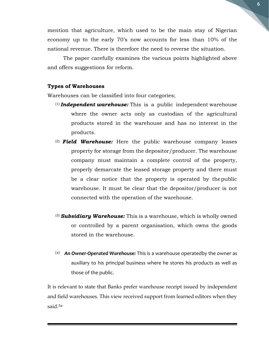mention that agriculture, which used to be the main stay of Nigerian economy up to the early 70's now accounts for less than 10% of the national revenue. There is therefore the need to reverse the situation.

The paper carefully examines the various points highlighted above and offers suggestions for reform.

#### Types of Warehouses

Warehouses can be classified into four categories;

- $(1)$  Independent warehouse: This is a public independent warehouse where the owner acts only as custodian of the agricultural products stored in the warehouse and has no interest in the products.
- $(2)$  Field Warehouse: Here the public warehouse company leases property for storage from the depositor/producer. The warehouse company must maintain a complete control of the property, properly demarcate the leased storage property and there must be a clear notice that the property is operated by the public warehouse. It must be clear that the depositor/producer is not connected with the operation of the warehouse.
- $(3)$  Subsidiary Warehouse: This is a warehouse, which is wholly owned or controlled by a parent organisation, which owns the goods stored in the warehouse.
- (4) An Owner-Operated Warehouse: This is a warehouse operated by the owner as auxiliary to his principal business where he stores his products as well as those of the public.

It is relevant to state that Banks prefer warehouse receipt issued by independent and field warehouses. This view received support from learned editors when they said.5a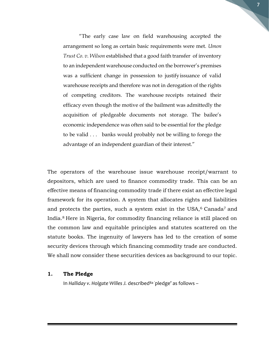"The early case law on field warehousing accepted the arrangement so long as certain basic requirements were met. Umon Trust Co. v. Wilson established that a good faith transfer of inventory to an independent warehouse conducted on the borrower's premises was a sufficient change in possession to justify issuance of valid warehouse receipts and therefore was not in derogation of the rights of competing creditors. The warehouse receipts retained their efficacy even though the motive of the bailment was admittedly the acquisition of pledgeable documents not storage. The bailee's economic independence was often said to be essential for the pledge to be valid . . . banks would probably not be willing to forego the advantage of an independent guardian of their interest."

7

The operators of the warehouse issue warehouse receipt/warrant to depositors, which are used to finance commodity trade. This can be an effective means of financing commodity trade if there exist an effective legal framework for its operation. A system that allocates rights and liabilities and protects the parties, such a system exist in the USA,<sup>6</sup> Canada<sup>7</sup> and India.8 Here in Nigeria, for commodity financing reliance is still placed on the common law and equitable principles and statutes scattered on the statute books. The ingenuity of lawyers has led to the creation of some security devices through which financing commodity trade are conducted. We shall now consider these securities devices as background to our topic.

#### 1. The Pledge

In Halliday v. Holgate Willes J. described<sup>8a</sup> pledge' as follows -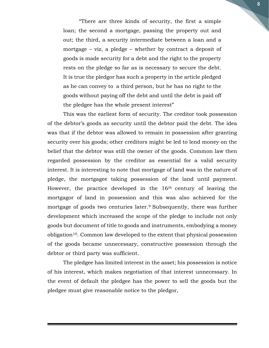"There are three kinds of security, the first a simple loan; the second a mortgage, passing the property out and out; the third, a security intermediate between a loan and a mortgage – viz, a pledge – whether by contract a deposit of goods is made security for a debt and the right to the property rests on the pledge so far as is necessary to secure the debt. It is true the pledgor has such a property in the article pledged as he can convey to a third person, but he has no right to the goods without paying off the debt and until the debt is paid off the pledgee has the whole present interest"

This was the earliest form of security. The creditor took possession of the debtor's goods as security until the debtor paid the debt. The idea was that if the debtor was allowed to remain in possession after granting security over his goods; other creditors might be led to lend money on the belief that the debtor was still the owner of the goods. Common law then regarded possession by the creditor as essential for a valid security interest. It is interesting to note that mortgage of land was in the nature of pledge, the mortgagee taking possession of the land until payment. However, the practice developed in the 16<sup>th</sup> century of leaving the mortgagor of land in possession and this was also achieved for the mortgage of goods two centuries later.<sup>9</sup> Subsequently, there was further development which increased the scope of the pledge to include not only goods but document of title to goods and instruments, embodying a money obligation10. Common law developed to the extent that physical possession of the goods became unnecessary, constructive possession through the debtor or third party was sufficient.

The pledgee has limited interest in the asset; his possession is notice of his interest, which makes negotiation of that interest unnecessary. In the event of default the pledgee has the power to sell the goods but the pledgee must give reasonable notice to the pledgor,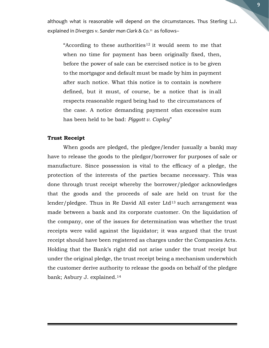although what is reasonable will depend on the circumstances. Thus Sterling L.J. explained in Diverges v. Sander man Clark & Co.<sup>11</sup> as follows-

"According to these authorities<sup>12</sup> it would seem to me that when no time for payment has been originally fixed, then, before the power of sale can be exercised notice is to be given to the mortgagor and default must be made by him in payment after such notice. What this notice is to contain is nowhere defined, but it must, of course, be a notice that is in all respects reasonable regard being had to the circumstances of the case. A notice demanding payment of an excessive sum has been held to be bad: Piggott v. Copley"

#### Trust Receipt

When goods are pledged, the pledgee/lender (usually a bank) may have to release the goods to the pledgor/borrower for purposes of sale or manufacture. Since possession is vital to the efficacy of a pledge, the protection of the interests of the parties became necessary. This was done through trust receipt whereby the borrower/pledgor acknowledges that the goods and the proceeds of sale are held on trust for the lender/pledgee. Thus in Re David All ester Ltd<sup>13</sup> such arrangement was made between a bank and its corporate customer. On the liquidation of the company, one of the issues for determination was whether the trust receipts were valid against the liquidator; it was argued that the trust receipt should have been registered as charges under the Companies Acts. Holding that the Bank's right did not arise under the trust receipt but under the original pledge, the trust receipt being a mechanism under which the customer derive authority to release the goods on behalf of the pledgee bank; Asbury J. explained.14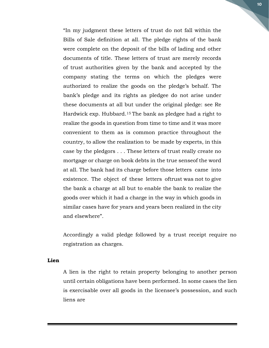"In my judgment these letters of trust do not fall within the Bills of Sale definition at all. The pledge rights of the bank were complete on the deposit of the bills of lading and other documents of title. These letters of trust are merely records of trust authorities given by the bank and accepted by the company stating the terms on which the pledges were authorized to realize the goods on the pledge's behalf. The bank's pledge and its rights as pledgee do not arise under these documents at all but under the original pledge: see Re Hardwick exp. Hubbard.15 The bank as pledgee had a right to realize the goods in question from time to time and it was more convenient to them as is common practice throughout the country, to allow the realization to be made by experts, in this case by the pledgors . . . These letters of trust really create no mortgage or charge on book debts in the true sense of the word at all. The bank had its charge before those letters came into existence. The object of these letters of trust was not to give the bank a charge at all but to enable the bank to realize the goods over which it had a charge in the way in which goods in similar cases have for years and years been realized in the city and elsewhere".

Accordingly a valid pledge followed by a trust receipt require no registration as charges.

#### Lien

A lien is the right to retain property belonging to another person until certain obligations have been performed. In some cases the lien is exercisable over all goods in the licensee's possession, and such liens are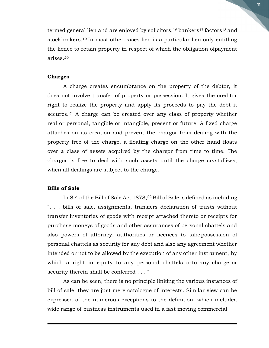termed general lien and are enjoyed by solicitors,<sup>16</sup> bankers<sup>17</sup> factors<sup>18</sup> and stockbrokers.19 In most other cases lien is a particular lien only entitling the lienee to retain property in respect of which the obligation of payment arises.<sup>20</sup>

#### Charges

A charge creates encumbrance on the property of the debtor, it does not involve transfer of property or possession. It gives the creditor right to realize the property and apply its proceeds to pay the debt it secures.<sup>21</sup> A charge can be created over any class of property whether real or personal, tangible or intangible, present or future. A fixed charge attaches on its creation and prevent the chargor from dealing with the property free of the charge, a floating charge on the other hand floats over a class of assets acquired by the chargor from time to time. The chargor is free to deal with such assets until the charge crystallizes, when all dealings are subject to the charge.

#### Bills of Sale

In S.4 of the Bill of Sale Act 1878,<sup>22</sup> Bill of Sale is defined as including ". . . bills of sale, assignments, transfers declaration of trusts without transfer inventories of goods with receipt attached thereto or receipts for purchase moneys of goods and other assurances of personal chattels and also powers of attorney, authorities or licences to take possession of personal chattels as security for any debt and also any agreement whether intended or not to be allowed by the execution of any other instrument, by which a right in equity to any personal chattels orto any charge or security therein shall be conferred . . . "

As can be seen, there is no principle linking the various instances of bill of sale, they are just mere catalogue of interests. Similar view can be expressed of the numerous exceptions to the definition, which includea wide range of business instruments used in a fast moving commercial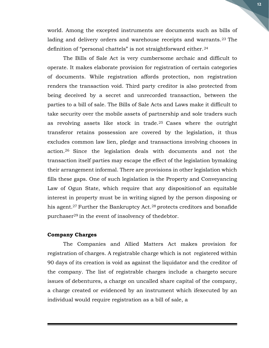world. Among the excepted instruments are documents such as bills of lading and delivery orders and warehouse receipts and warrants.<sup>23</sup> The definition of "personal chattels" is not straightforward either.<sup>24</sup>

The Bills of Sale Act is very cumbersome archaic and difficult to operate. It makes elaborate provision for registration of certain categories of documents. While registration affords protection, non registration renders the transaction void. Third party creditor is also protected from being deceived by a secret and unrecorded transaction, between the parties to a bill of sale. The Bills of Sale Acts and Laws make it difficult to take security over the mobile assets of partnership and sole traders such as revolving assets like stock in trade.25 Cases where the outright transferor retains possession are covered by the legislation, it thus excludes common law lien, pledge and transactions involving chooses in action.26 Since the legislation deals with documents and not the transaction itself parties may escape the effect of the legislation by making their arrangement informal. There are provisions in other legislation which fills these gaps. One of such legislation is the Property and Conveyancing Law of Ogun State, which require that any disposition of an equitable interest in property must be in writing signed by the person disposing or his agent.<sup>27</sup> Further the Bankruptcy Act.<sup>28</sup> protects creditors and bonafide purchaser $^{29}$  in the event of insolvency of the debtor.

#### Company Charges

The Companies and Allied Matters Act makes provision for registration of charges. A registrable charge which is not registered within 90 days of its creation is void as against the liquidator and the creditor of the company. The list of registrable charges include a charge to secure issues of debentures, a charge on uncalled share capital of the company, a charge created or evidenced by an instrument which if executed by an individual would require registration as a bill of sale, a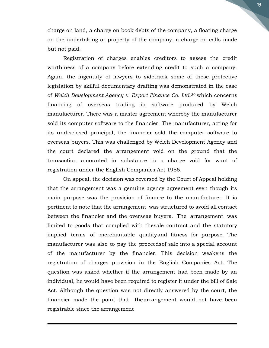charge on land, a charge on book debts of the company, a floating charge on the undertaking or property of the company, a charge on calls made but not paid.

Registration of charges enables creditors to assess the credit worthiness of a company before extending credit to such a company. Again, the ingenuity of lawyers to sidetrack some of these protective legislation by skilful documentary drafting was demonstrated in the case of Welch Development Agency v. Export Finance Co. Ltd.30 which concerns financing of overseas trading in software produced by Welch manufacturer. There was a master agreement whereby the manufacturer sold its computer software to the financier. The manufacturer, acting for its undisclosed principal, the financier sold the computer software to overseas buyers. This was challenged by Welch Development Agency and the court declared the arrangement void on the ground that the transaction amounted in substance to a charge void for want of registration under the English Companies Act 1985.

On appeal, the decision was reversed by the Court of Appeal holding that the arrangement was a genuine agency agreement even though its main purpose was the provision of finance to the manufacturer. It is pertinent to note that the arrangement was structured to avoid all contact between the financier and the overseas buyers. The arrangement was limited to goods that complied with the sale contract and the statutory implied terms of merchantable quality and fitness for purpose. The manufacturer was also to pay the proceeds of sale into a special account of the manufacturer by the financier. This decision weakens the registration of charges provision in the English Companies Act. The question was asked whether if the arrangement had been made by an individual, he would have been required to register it under the bill of Sale Act. Although the question was not directly answered by the court, the financier made the point that the arrangement would not have been registrable since the arrangement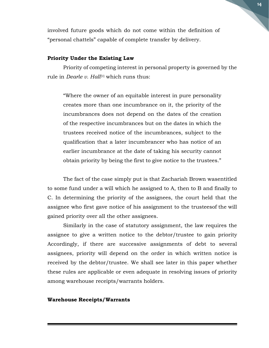involved future goods which do not come within the definition of "personal chattels" capable of complete transfer by delivery.

#### Priority Under the Existing Law

Priority of competing interest in personal property is governed by the rule in *Dearle v. Hall*<sup>31</sup> which runs thus:

"Where the owner of an equitable interest in pure personality creates more than one incumbrance on it, the priority of the incumbrances does not depend on the dates of the creation of the respective incumbrances but on the dates in which the trustees received notice of the incumbrances, subject to the qualification that a later incumbrancer who has notice of an earlier incumbrance at the date of taking his security cannot obtain priority by being the first to give notice to the trustees."

The fact of the case simply put is that Zachariah Brown was entitled to some fund under a will which he assigned to A, then to B and finally to C. In determining the priority of the assignees, the court held that the assignee who first gave notice of his assignment to the trustees of the will gained priority over all the other assignees.

Similarly in the case of statutory assignment, the law requires the assignee to give a written notice to the debtor/trustee to gain priority Accordingly, if there are successive assignments of debt to several assignees, priority will depend on the order in which written notice is received by the debtor/trustee. We shall see later in this paper whether these rules are applicable or even adequate in resolving issues of priority among warehouse receipts/warrants holders.

#### Warehouse Receipts/Warrants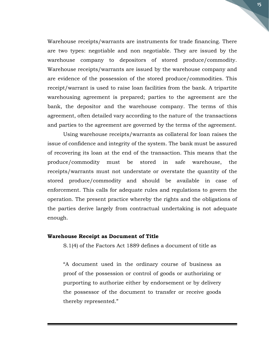Warehouse receipts/warrants are instruments for trade financing. There are two types: negotiable and non negotiable. They are issued by the warehouse company to depositors of stored produce/commodity. Warehouse receipts/warrants are issued by the warehouse company and are evidence of the possession of the stored produce/commodities. This receipt/warrant is used to raise loan facilities from the bank. A tripartite warehousing agreement is prepared; parties to the agreement are the bank, the depositor and the warehouse company. The terms of this agreement, often detailed vary according to the nature of the transactions and parties to the agreement are governed by the terms of the agreement.

Using warehouse receipts/warrants as collateral for loan raises the issue of confidence and integrity of the system. The bank must be assured of recovering its loan at the end of the transaction. This means that the produce/commodity must be stored in safe warehouse, the receipts/warrants must not understate or overstate the quantity of the stored produce/commodity and should be available in case of enforcement. This calls for adequate rules and regulations to govern the operation. The present practice whereby the rights and the obligations of the parties derive largely from contractual undertaking is not adequate enough.

#### Warehouse Receipt as Document of Title

S.1(4) of the Factors Act 1889 defines a document of title as

"A document used in the ordinary course of business as proof of the possession or control of goods or authorizing or purporting to authorize either by endorsement or by delivery the possessor of the document to transfer or receive goods thereby represented."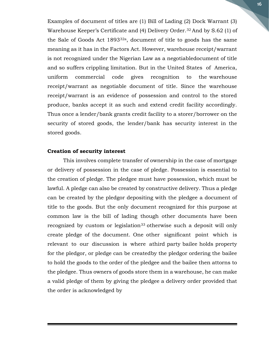Examples of document of titles are (1) Bill of Lading (2) Dock Warrant (3) Warehouse Keeper's Certificate and (4) Delivery Order.32 And by S.62 (1) of the Sale of Goods Act 189332a, document of title to goods has the same meaning as it has in the Factors Act. However, warehouse receipt/warrant is not recognized under the Nigerian Law as a negotiable document of title and so suffers crippling limitation. But in the United States of America, uniform commercial code gives recognition to the warehouse receipt/warrant as negotiable document of title. Since the warehouse receipt/warrant is an evidence of possession and control to the stored produce, banks accept it as such and extend credit facility accordingly. Thus once a lender/bank grants credit facility to a storer/borrower on the security of stored goods, the lender/bank has security interest in the stored goods.

#### Creation of security interest

This involves complete transfer of ownership in the case of mortgage or delivery of possession in the case of pledge. Possession is essential to the creation of pledge. The pledgee must have possession, which must be lawful. A pledge can also be created by constructive delivery. Thus a pledge can be created by the pledgor depositing with the pledgee a document of title to the goods. But the only document recognized for this purpose at common law is the bill of lading though other documents have been recognized by custom or legislation<sup>33</sup> otherwise such a deposit will only create pledge of the document. One other significant point which is relevant to our discussion is where athird party bailee holds property for the pledgor, or pledge can be created by the pledgor ordering the bailee to hold the goods to the order of the pledgee and the bailee then attorns to the pledgee. Thus owners of goods store them in a warehouse, he can make a valid pledge of them by giving the pledgee a delivery order provided that the order is acknowledged by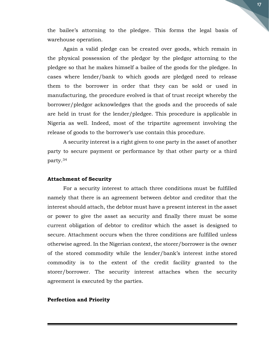the bailee's attorning to the pledgee. This forms the legal basis of warehouse operation.

Again a valid pledge can be created over goods, which remain in the physical possession of the pledgor by the pledgor attorning to the pledgee so that he makes himself a bailee of the goods for the pledgee. In cases where lender/bank to which goods are pledged need to release them to the borrower in order that they can be sold or used in manufacturing, the procedure evolved is that of trust receipt whereby the borrower/pledgor acknowledges that the goods and the proceeds of sale are held in trust for the lender/pledgee. This procedure is applicable in Nigeria as well. Indeed, most of the tripartite agreement involving the release of goods to the borrower's use contain this procedure.

A security interest is a right given to one party in the asset of another party to secure payment or performance by that other party or a third party.<sup>34</sup>

#### Attachment of Security

For a security interest to attach three conditions must be fulfilled namely that there is an agreement between debtor and creditor that the interest should attach, the debtor must have a present interest in the asset or power to give the asset as security and finally there must be some current obligation of debtor to creditor which the asset is designed to secure. Attachment occurs when the three conditions are fulfilled unless otherwise agreed. In the Nigerian context, the storer/borrower is the owner of the stored commodity while the lender/bank's interest in the stored commodity is to the extent of the credit facility granted to the storer/borrower. The security interest attaches when the security agreement is executed by the parties.

#### Perfection and Priority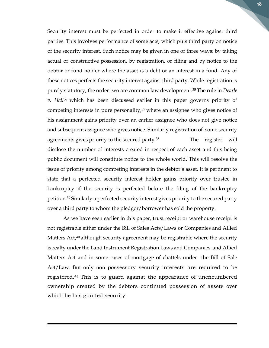Security interest must be perfected in order to make it effective against third parties. This involves performance of some acts, which puts third party on notice of the security interest. Such notice may be given in one of three ways; by taking actual or constructive possession, by registration, or filing and by notice to the debtor or fund holder where the asset is a debt or an interest in a fund. Any of these notices perfects the security interest against third party. While registration is purely statutory, the order two are common law development.<sup>35</sup> The rule in *Dearle*  $v$ . Hall<sup>36</sup> which has been discussed earlier in this paper governs priority of competing interests in pure personality, $37$  where an assignee who gives notice of his assignment gains priority over an earlier assignee who does not give notice and subsequent assignee who gives notice. Similarly registration of some security agreements gives priority to the secured party.<sup>38</sup> The register will disclose the number of interests created in respect of each asset and this being public document will constitute notice to the whole world. This will resolve the issue of priority among competing interests in the debtor's asset. It is pertinent to state that a perfected security interest holder gains priority over trustee in bankruptcy if the security is perfected before the filing of the bankruptcy petition.39 Similarly a perfected security interest gives priority to the secured party over a third party to whom the pledgor/borrower has sold the property.

As we have seen earlier in this paper, trust receipt or warehouse receipt is not registrable either under the Bill of Sales Acts/Laws or Companies and Allied Matters Act,<sup>40</sup> although security agreement may be registrable where the security is realty under the Land Instrument Registration Laws and Companies and Allied Matters Act and in some cases of mortgage of chattels under the Bill of Sale Act/Law. But only non possessory security interests are required to be registered.41 This is to guard against the appearance of unencumbered ownership created by the debtors continued possession of assets over which he has granted security.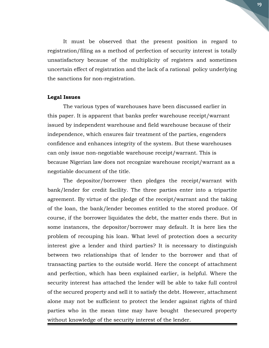It must be observed that the present position in regard to registration/filing as a method of perfection of security interest is totally unsatisfactory because of the multiplicity of registers and sometimes uncertain effect of registration and the lack of a rational policy underlying the sanctions for non-registration.

#### Legal Issues

The various types of warehouses have been discussed earlier in this paper. It is apparent that banks prefer warehouse receipt/warrant issued by independent warehouse and field warehouse because of their independence, which ensures fair treatment of the parties, engenders confidence and enhances integrity of the system. But these warehouses can only issue non-negotiable warehouse receipt/warrant. This is because Nigerian law does not recognize warehouse receipt/warrant as a negotiable document of the title.

The depositor/borrower then pledges the receipt/warrant with bank/lender for credit facility. The three parties enter into a tripartite agreement. By virtue of the pledge of the receipt/warrant and the taking of the loan, the bank/lender becomes entitled to the stored produce. Of course, if the borrower liquidates the debt, the matter ends there. But in some instances, the depositor/borrower may default. It is here lies the problem of recouping his loan. What level of protection does a security interest give a lender and third parties? It is necessary to distinguish between two relationships that of lender to the borrower and that of transacting parties to the outside world. Here the concept of attachment and perfection, which has been explained earlier, is helpful. Where the security interest has attached the lender will be able to take full control of the secured property and sell it to satisfy the debt. However, attachment alone may not be sufficient to protect the lender against rights of third parties who in the mean time may have bought the secured property without knowledge of the security interest of the lender.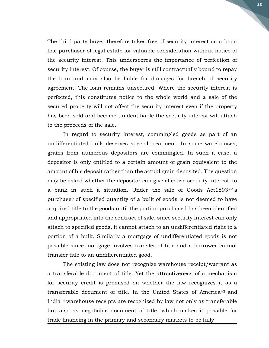The third party buyer therefore takes free of security interest as a bona fide purchaser of legal estate for valuable consideration without notice of the security interest. This underscores the importance of perfection of security interest. Of course, the buyer is still contractually bound to repay the loan and may also be liable for damages for breach of security agreement. The loan remains unsecured. Where the security interest is perfected, this constitutes notice to the whole world and a sale of the secured property will not affect the security interest even if the property has been sold and become unidentifiable the security interest will attach to the proceeds of the sale.

In regard to security interest, commingled goods as part of an undifferentiated bulk deserves special treatment. In some warehouses, grains from numerous depositors are commingled. In such a case, a depositor is only entitled to a certain amount of grain equivalent to the amount of his deposit rather than the actual grain deposited. The question may be asked whether the depositor can give effective security interest to a bank in such a situation. Under the sale of Goods Act1893<sup>42</sup> a purchaser of specified quantity of a bulk of goods is not deemed to have acquired title to the goods until the portion purchased has been identified and appropriated into the contract of sale, since security interest can only attach to specified goods, it cannot attach to an undifferentiated right to a portion of a bulk. Similarly a mortgage of undifferentiated goods is not possible since mortgage involves transfer of title and a borrower cannot transfer title to an undifferentiated good.

The existing law does not recognize warehouse receipt/warrant as a transferable document of title. Yet the attractiveness of a mechanism for security credit is premised on whether the law recognizes it as a transferable document of title. In the United States of America<sup>43</sup> and India44 warehouse receipts are recognized by law not only as transferable but also as negotiable document of title, which makes it possible for trade financing in the primary and secondary markets to be fully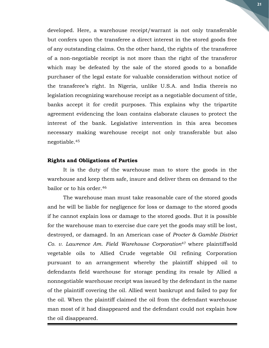developed. Here, a warehouse receipt/warrant is not only transferable but confers upon the transferee a direct interest in the stored goods free of any outstanding claims. On the other hand, the rights of the transferee of a non-negotiable receipt is not more than the right of the transferor which may be defeated by the sale of the stored goods to a bonafide purchaser of the legal estate for valuable consideration without notice of the transferee's right. In Nigeria, unlike U.S.A. and India thereis no legislation recognizing warehouse receipt as a negotiable document of title, banks accept it for credit purposes. This explains why the tripartite agreement evidencing the loan contains elaborate clauses to protect the interest of the bank. Legislative intervention in this area becomes necessary making warehouse receipt not only transferable but also negotiable.<sup>45</sup>

#### Rights and Obligations of Parties

It is the duty of the warehouse man to store the goods in the warehouse and keep them safe, insure and deliver them on demand to the bailor or to his order.<sup>46</sup>

The warehouse man must take reasonable care of the stored goods and he will be liable for negligence for loss or damage to the stored goods if he cannot explain loss or damage to the stored goods. But it is possible for the warehouse man to exercise due care yet the goods may still be lost, destroyed, or damaged. In an American case of Procter & Gamble District Co. v. Lawrence Am. Field Warehouse Corporation<sup>47</sup> where plaintiffsold vegetable oils to Allied Crude vegetable Oil refining Corporation pursuant to an arrangement whereby the plaintiff shipped oil to defendants field warehouse for storage pending its resale by Allied a nonnegotiable warehouse receipt was issued by the defendant in the name of the plaintiff covering the oil. Allied went bankrupt and failed to pay for the oil. When the plaintiff claimed the oil from the defendant warehouse man most of it had disappeared and the defendant could not explain how the oil disappeared.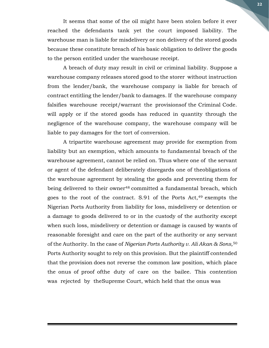It seems that some of the oil might have been stolen before it ever reached the defendants tank yet the court imposed liability. The warehouse man is liable for misdelivery or non delivery of the stored goods because these constitute breach of his basic obligation to deliver the goods to the person entitled under the warehouse receipt.

A breach of duty may result in civil or criminal liability. Suppose a warehouse company releases stored good to the storer without instruction from the lender/bank, the warehouse company is liable for breach of contract entitling the lender/bank to damages. If the warehouse company falsifies warehouse receipt/warrant the provisions of the Criminal Code. will apply or if the stored goods has reduced in quantity through the negligence of the warehouse company, the warehouse company will be liable to pay damages for the tort of conversion.

A tripartite warehouse agreement may provide for exemption from liability but an exemption, which amounts to fundamental breach of the warehouse agreement, cannot be relied on. Thus where one of the servant or agent of the defendant deliberately disregards one of the obligations of the warehouse agreement by stealing the goods and preventing them for being delivered to their owner<sup>48</sup> committed a fundamental breach, which goes to the root of the contract. S.91 of the Ports Act, $49$  exempts the Nigerian Ports Authority from liability for loss, misdelivery or detention or a damage to goods delivered to or in the custody of the authority except when such loss, misdelivery or detention or damage is caused by wants of reasonable foresight and care on the part of the authority or any servant of the Authority. In the case of Nigerian Ports Authority v. Ali Akan & Sons,  $50$ Ports Authority sought to rely on this provision. But the plaintiff contended that the provision does not reverse the common law position, which place the onus of proof of the duty of care on the bailee. This contention was rejected by the Supreme Court, which held that the onus was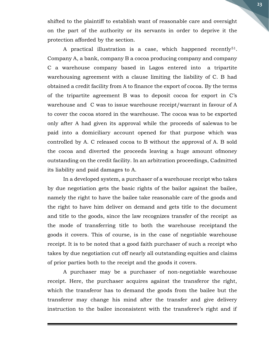shifted to the plaintiff to establish want of reasonable care and oversight on the part of the authority or its servants in order to deprive it the protection afforded by the section.

A practical illustration is a case, which happened recently<sup>51</sup>. Company A, a bank, company B a cocoa producing company and company C a warehouse company based in Lagos entered into a tripartite warehousing agreement with a clause limiting the liability of C. B had obtained a credit facility from A to finance the export of cocoa. By the terms of the tripartite agreement B was to deposit cocoa for export in C's warehouse and C was to issue warehouse receipt/warrant in favour of A to cover the cocoa stored in the warehouse. The cocoa was to be exported only after A had given its approval while the proceeds of salewas to be paid into a domiciliary account opened for that purpose which was controlled by A. C released cocoa to B without the approval of A. B sold the cocoa and diverted the proceeds leaving a huge amount of money outstanding on the credit facility. In an arbitration proceedings, Cadmitted its liability and paid damages to A.

In a developed system, a purchaser of a warehouse receipt who takes by due negotiation gets the basic rights of the bailor against the bailee, namely the right to have the bailee take reasonable care of the goods and the right to have him deliver on demand and gets title to the document and title to the goods, since the law recognizes transfer of the receipt as the mode of transferring title to both the warehouse receiptand the goods it covers. This of course, is in the case of negotiable warehouse receipt. It is to be noted that a good faith purchaser of such a receipt who takes by due negotiation cut off nearly all outstanding equities and claims of prior parties both to the receipt and the goods it covers.

A purchaser may be a purchaser of non-negotiable warehouse receipt. Here, the purchaser acquires against the transferor the right, which the transferor has to demand the goods from the bailee but the transferor may change his mind after the transfer and give delivery instruction to the bailee inconsistent with the transferee's right and if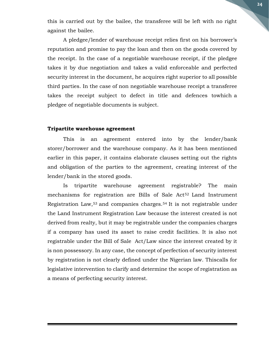this is carried out by the bailee, the transferee will be left with no right against the bailee.

A pledgee/lender of warehouse receipt relies first on his borrower's reputation and promise to pay the loan and then on the goods covered by the receipt. In the case of a negotiable warehouse receipt, if the pledgee takes it by due negotiation and takes a valid enforceable and perfected security interest in the document, he acquires right superior to all possible third parties. In the case of non negotiable warehouse receipt a transferee takes the receipt subject to defect in title and defences towhich a pledgee of negotiable documents is subject.

#### Tripartite warehouse agreement

This is an agreement entered into by the lender/bank storer/borrower and the warehouse company. As it has been mentioned earlier in this paper, it contains elaborate clauses setting out the rights and obligation of the parties to the agreement, creating interest of the lender/bank in the stored goods.

Is tripartite warehouse agreement registrable? The main mechanisms for registration are Bills of Sale Act<sup>52</sup> Land Instrument Registration Law,53 and companies charges.54 It is not registrable under the Land Instrument Registration Law because the interest created is not derived from realty, but it may be registrable under the companies charges if a company has used its asset to raise credit facilities. It is also not registrable under the Bill of Sale Act/Law since the interest created by it is non possessory. In any case, the concept of perfection of security interest by registration is not clearly defined under the Nigerian law. This calls for legislative intervention to clarify and determine the scope of registration as a means of perfecting security interest.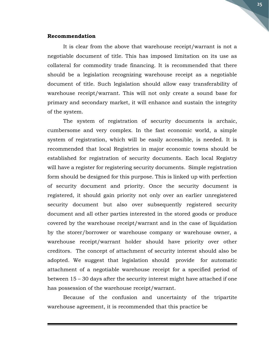#### Recommendation

It is clear from the above that warehouse receipt/warrant is not a negotiable document of title. This has imposed limitation on its use as collateral for commodity trade financing. It is recommended that there should be a legislation recognizing warehouse receipt as a negotiable document of title. Such legislation should allow easy transferability of warehouse receipt/warrant. This will not only create a sound base for primary and secondary market, it will enhance and sustain the integrity of the system.

The system of registration of security documents is archaic, cumbersome and very complex. In the fast economic world, a simple system of registration, which will be easily accessible, is needed. It is recommended that local Registries in major economic towns should be established for registration of security documents. Each local Registry will have a register for registering security documents. Simple registration form should be designed for this purpose. This is linked up with perfection of security document and priority. Once the security document is registered, it should gain priority not only over an earlier unregistered security document but also over subsequently registered security document and all other parties interested in the stored goods or produce covered by the warehouse receipt/warrant and in the case of liquidation by the storer/borrower or warehouse company or warehouse owner, a warehouse receipt/warrant holder should have priority over other creditors. The concept of attachment of security interest should also be adopted. We suggest that legislation should provide for automatic attachment of a negotiable warehouse receipt for a specified period of between 15 – 30 days after the security interest might have attached if one has possession of the warehouse receipt/warrant.

Because of the confusion and uncertainty of the tripartite warehouse agreement, it is recommended that this practice be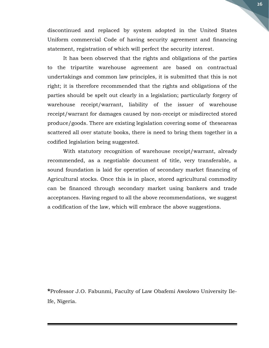discontinued and replaced by system adopted in the United States Uniform commercial Code of having security agreement and financing statement, registration of which will perfect the security interest.

It has been observed that the rights and obligations of the parties to the tripartite warehouse agreement are based on contractual undertakings and common law principles, it is submitted that this is not right; it is therefore recommended that the rights and obligations of the parties should be spelt out clearly in a legislation; particularly forgery of warehouse receipt/warrant, liability of the issuer of warehouse receipt/warrant for damages caused by non-receipt or misdirected stored produce/goods. There are existing legislation covering some of these areas scattered all over statute books, there is need to bring them together in a codified legislation being suggested.

With statutory recognition of warehouse receipt/warrant, already recommended, as a negotiable document of title, very transferable, a sound foundation is laid for operation of secondary market financing of Agricultural stocks. Once this is in place, stored agricultural commodity can be financed through secondary market using bankers and trade acceptances. Having regard to all the above recommendations, we suggest a codification of the law, which will embrace the above suggestions.

\*Professor J.O. Fabunmi, Faculty of Law Obafemi Awolowo University Ile-Ife, Nigeria.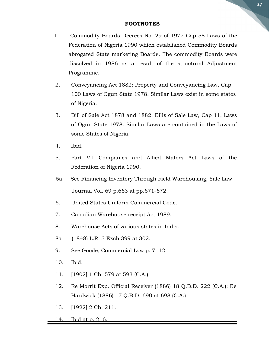#### FOOTNOTES

- 1. Commodity Boards Decrees No. 29 of 1977 Cap 58 Laws of the Federation of Nigeria 1990 which established Commodity Boards abrogated State marketing Boards. The commodity Boards were dissolved in 1986 as a result of the structural Adjustment Programme.
- 2. Conveyancing Act 1882; Property and Conveyancing Law, Cap 100 Laws of Ogun State 1978. Similar Laws exist in some states of Nigeria.
- 3. Bill of Sale Act 1878 and 1882; Bills of Sale Law, Cap 11, Laws of Ogun State 1978. Similar Laws are contained in the Laws of some States of Nigeria.
- 4. Ibid.
- 5. Part VII Companies and Allied Maters Act Laws of the Federation of Nigeria 1990.
- 5a. See Financing Inventory Through Field Warehousing, Yale Law Journal Vol. 69 p.663 at pp.671-672.
- 6. United States Uniform Commercial Code.
- 7. Canadian Warehouse receipt Act 1989.
- 8. Warehouse Acts of various states in India.
- 8a (1848) L.R. 3 Exch 399 at 302.
- 9. See Goode, Commercial Law p. 7112.
- 10. Ibid.
- 11. [1902] 1 Ch. 579 at 593 (C.A.)
- 12. Re Morrit Exp. Official Receiver (1886) 18 Q.B.D. 222 (C.A.); Re Hardwick (1886) 17 Q.B.D. 690 at 698 (C.A.)
- 13. [1922] 2 Ch. 211.
- 14. Ibid at p. 216.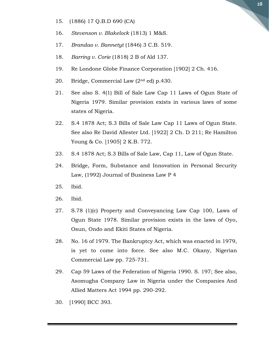- 15. (1886) 17 Q.B.D 690 (CA)
- 16. Stevenson v. Blakelock (1813) 1 M&S.
- 17. Brandao v. Bannetyt (1846) 3 C.B. 519.
- 18. Barring v. Corie (1818) 2 B of Ald 137.
- 19. Re Londone Globe Finance Corporation [1902] 2 Ch. 416.
- 20. Bridge, Commercial Law  $(2<sup>nd</sup> ed)$  p.430.
- 21. See also S. 4(1) Bill of Sale Law Cap 11 Laws of Ogun State of Nigeria 1979. Similar provision exists in various laws of some states of Nigeria.
- 22. S.4 1878 Act; S.3 Bills of Sale Law Cap 11 Laws of Ogun State. See also Re David Allester Ltd. [1922] 2 Ch. D 211; Re Hamilton Young & Co. [1905] 2 K.B. 772.
- 23. S.4 1878 Act; S.3 Bills of Sale Law, Cap 11, Law of Ogun State.
- 24. Bridge, Form, Substance and Innovation in Personal Security Law, (1992) Journal of Business Law P 4
- 25. Ibid.
- 26. Ibid.
- 27. S.78 (1)(c) Property and Conveyancing Law Cap 100, Laws of Ogun State 1978. Similar provision exists in the laws of Oyo, Osun, Ondo and Ekiti States of Nigeria.
- 28. No. 16 of 1979. The Bankruptcy Act, which was enacted in 1979, is yet to come into force. See also M.C. Okany, Nigerian Commercial Law pp. 725-731.
- 29. Cap 59 Laws of the Federation of Nigeria 1990. S. 197; See also, Asomugha Company Law in Nigeria under the Companies And Allied Matters Act 1994 pp. 290-292.
- 30. [1990] BCC 393.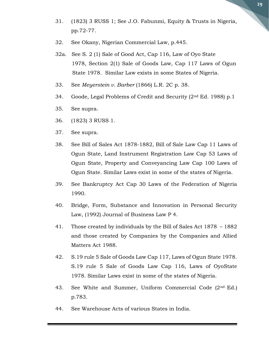- 31. (1823) 3 RUSS 1; See J.O. Fabunmi, Equity & Trusts in Nigeria, pp.72-77.
- 32. See Okany, Nigerian Commercial Law, p.445.
- 32a. See S. 2 (1) Sale of Good Act, Cap 116, Law of Oyo State 1978, Section 2(1) Sale of Goods Law, Cap 117 Laws of Ogun State 1978. Similar Law exists in some States of Nigeria.
- 33. See Meyerstein v. Barber (1866) L.R. 2C p. 38.
- 34. Goode, Legal Problems of Credit and Security (2nd Ed. 1988) p.1
- 35. See supra.
- 36. (1823) 3 RUSS 1.
- 37. See supra.
- 38. See Bill of Sales Act 1878-1882, Bill of Sale Law Cap 11 Laws of Ogun State, Land Instrument Registration Law Cap 53 Laws of Ogun State, Property and Conveyancing Law Cap 100 Laws of Ogun State. Similar Laws exist in some of the states of Nigeria.
- 39. See Bankruptcy Act Cap 30 Laws of the Federation of Nigeria 1990.
- 40. Bridge, Form, Substance and Innovation in Personal Security Law, (1992) Journal of Business Law P 4.
- 41. Those created by individuals by the Bill of Sales Act 1878 1882 and those created by Companies by the Companies and Allied Matters Act 1988.
- 42. S.19 rule 5 Sale of Goods Law Cap 117, Laws of Ogun State 1978. S.19 rule 5 Sale of Goods Law Cap 116, Laws of OyoState 1978. Similar Laws exist in some of the states of Nigeria.
- 43. See White and Summer, Uniform Commercial Code (2<sup>nd</sup> Ed.) p.783.
- 44. See Warehouse Acts of various States in India.